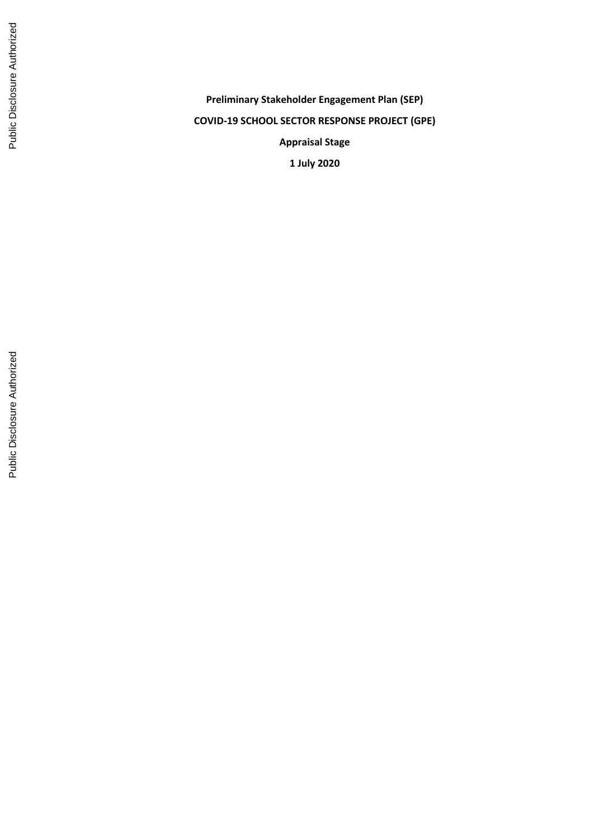**Preliminary Stakeholder Engagement Plan (SEP) COVID -19 SCHOOL SECTOR RESPONSE PROJECT (GPE) Appraisal Stage 1 July 2020**

Public Disclosure Authorized

Public Disclosure Authorized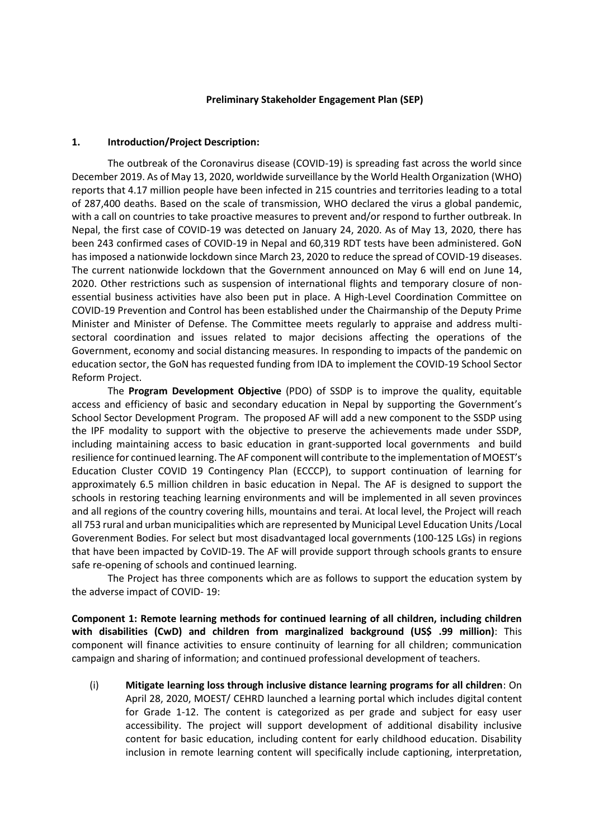#### **Preliminary Stakeholder Engagement Plan (SEP)**

#### **1. Introduction/Project Description:**

The outbreak of the Coronavirus disease (COVID-19) is spreading fast across the world since December 2019. As of May 13, 2020, worldwide surveillance by the World Health Organization (WHO) reports that 4.17 million people have been infected in 215 countries and territories leading to a total of 287,400 deaths. Based on the scale of transmission, WHO declared the virus a global pandemic, with a call on countries to take proactive measures to prevent and/or respond to further outbreak. In Nepal, the first case of COVID-19 was detected on January 24, 2020. As of May 13, 2020, there has been 243 confirmed cases of COVID-19 in Nepal and 60,319 RDT tests have been administered. GoN has imposed a nationwide lockdown since March 23, 2020 to reduce the spread of COVID-19 diseases. The current nationwide lockdown that the Government announced on May 6 will end on June 14, 2020. Other restrictions such as suspension of international flights and temporary closure of nonessential business activities have also been put in place. A High-Level Coordination Committee on COVID-19 Prevention and Control has been established under the Chairmanship of the Deputy Prime Minister and Minister of Defense. The Committee meets regularly to appraise and address multisectoral coordination and issues related to major decisions affecting the operations of the Government, economy and social distancing measures. In responding to impacts of the pandemic on education sector, the GoN has requested funding from IDA to implement the COVID-19 School Sector Reform Project.

The **Program Development Objective** (PDO) of SSDP is to improve the quality, equitable access and efficiency of basic and secondary education in Nepal by supporting the Government's School Sector Development Program. The proposed AF will add a new component to the SSDP using the IPF modality to support with the objective to preserve the achievements made under SSDP, including maintaining access to basic education in grant-supported local governments and build resilience for continued learning. The AF component will contribute to the implementation of MOEST's Education Cluster COVID 19 Contingency Plan (ECCCP), to support continuation of learning for approximately 6.5 million children in basic education in Nepal. The AF is designed to support the schools in restoring teaching learning environments and will be implemented in all seven provinces and all regions of the country covering hills, mountains and terai. At local level, the Project will reach all 753 rural and urban municipalities which are represented by Municipal Level Education Units /Local Goverenment Bodies. For select but most disadvantaged local governments (100-125 LGs) in regions that have been impacted by CoVID-19. The AF will provide support through schools grants to ensure safe re-opening of schools and continued learning.

The Project has three components which are as follows to support the education system by the adverse impact of COVID- 19:

**Component 1: Remote learning methods for continued learning of all children, including children with disabilities (CwD) and children from marginalized background (US\$ .99 million)**: This component will finance activities to ensure continuity of learning for all children; communication campaign and sharing of information; and continued professional development of teachers.

(i) **Mitigate learning loss through inclusive distance learning programs for all children**: On April 28, 2020, MOEST/ CEHRD launched a learning portal which includes digital content for Grade 1-12. The content is categorized as per grade and subject for easy user accessibility. The project will support development of additional disability inclusive content for basic education, including content for early childhood education. Disability inclusion in remote learning content will specifically include captioning, interpretation,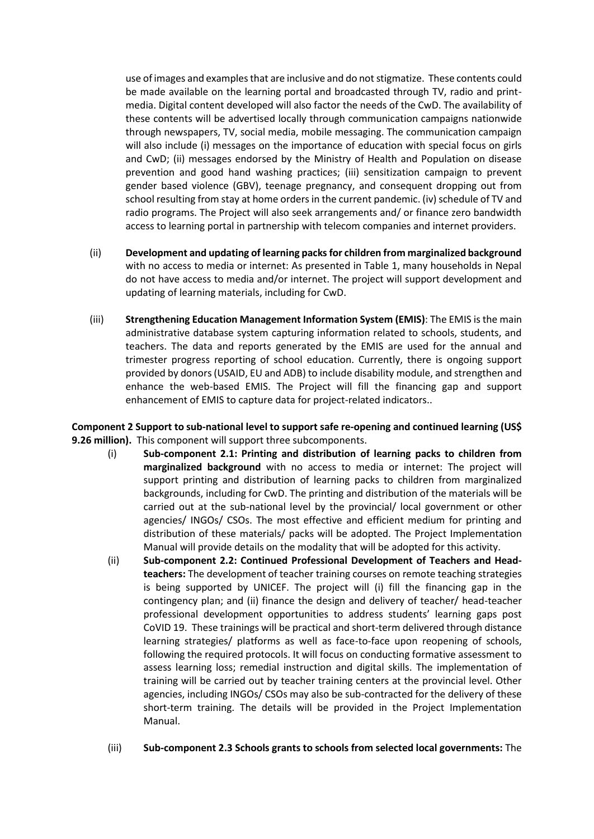use of images and examples that are inclusive and do not stigmatize. These contents could be made available on the learning portal and broadcasted through TV, radio and printmedia. Digital content developed will also factor the needs of the CwD. The availability of these contents will be advertised locally through communication campaigns nationwide through newspapers, TV, social media, mobile messaging. The communication campaign will also include (i) messages on the importance of education with special focus on girls and CwD; (ii) messages endorsed by the Ministry of Health and Population on disease prevention and good hand washing practices; (iii) sensitization campaign to prevent gender based violence (GBV), teenage pregnancy, and consequent dropping out from school resulting from stay at home orders in the current pandemic. (iv) schedule of TV and radio programs. The Project will also seek arrangements and/ or finance zero bandwidth access to learning portal in partnership with telecom companies and internet providers.

- (ii) **Development and updating of learning packs for children from marginalized background** with no access to media or internet: As presented in Table 1, many households in Nepal do not have access to media and/or internet. The project will support development and updating of learning materials, including for CwD.
- (iii) **Strengthening Education Management Information System (EMIS)**: The EMIS is the main administrative database system capturing information related to schools, students, and teachers. The data and reports generated by the EMIS are used for the annual and trimester progress reporting of school education. Currently, there is ongoing support provided by donors (USAID, EU and ADB) to include disability module, and strengthen and enhance the web-based EMIS. The Project will fill the financing gap and support enhancement of EMIS to capture data for project-related indicators..

**Component 2 Support to sub-national level to support safe re-opening and continued learning (US\$ 9.26 million).** This component will support three subcomponents.

- (i) **Sub-component 2.1: Printing and distribution of learning packs to children from marginalized background** with no access to media or internet: The project will support printing and distribution of learning packs to children from marginalized backgrounds, including for CwD. The printing and distribution of the materials will be carried out at the sub-national level by the provincial/ local government or other agencies/ INGOs/ CSOs. The most effective and efficient medium for printing and distribution of these materials/ packs will be adopted. The Project Implementation Manual will provide details on the modality that will be adopted for this activity.
- (ii) **Sub-component 2.2: Continued Professional Development of Teachers and Headteachers:** The development of teacher training courses on remote teaching strategies is being supported by UNICEF. The project will (i) fill the financing gap in the contingency plan; and (ii) finance the design and delivery of teacher/ head-teacher professional development opportunities to address students' learning gaps post CoVID 19.These trainings will be practical and short-term delivered through distance learning strategies/ platforms as well as face-to-face upon reopening of schools, following the required protocols. It will focus on conducting formative assessment to assess learning loss; remedial instruction and digital skills. The implementation of training will be carried out by teacher training centers at the provincial level. Other agencies, including INGOs/ CSOs may also be sub-contracted for the delivery of these short-term training. The details will be provided in the Project Implementation Manual.
- (iii) **Sub-component 2.3 Schools grants to schools from selected local governments:** The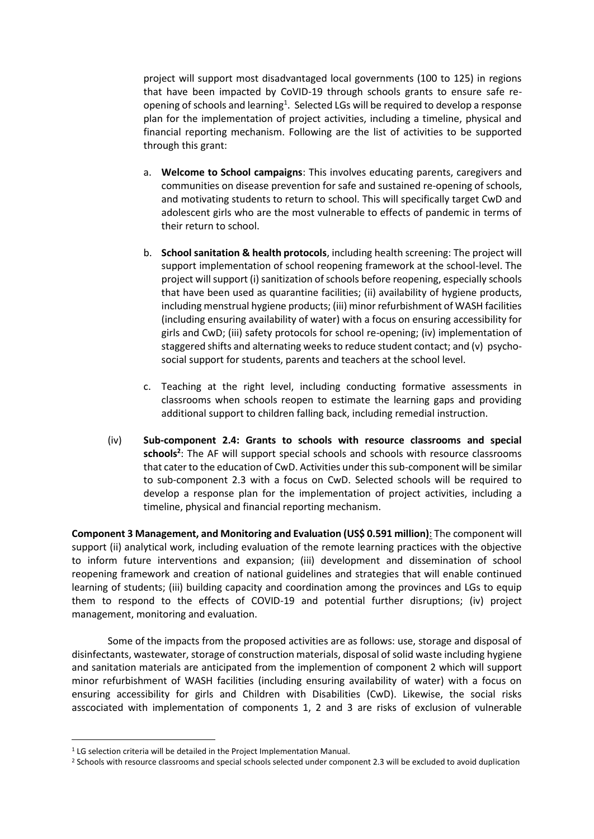project will support most disadvantaged local governments (100 to 125) in regions that have been impacted by CoVID-19 through schools grants to ensure safe reopening of schools and learning<sup>1</sup>. Selected LGs will be required to develop a response plan for the implementation of project activities, including a timeline, physical and financial reporting mechanism. Following are the list of activities to be supported through this grant:

- a. **Welcome to School campaigns**: This involves educating parents, caregivers and communities on disease prevention for safe and sustained re-opening of schools, and motivating students to return to school. This will specifically target CwD and adolescent girls who are the most vulnerable to effects of pandemic in terms of their return to school.
- b. **School sanitation & health protocols**, including health screening: The project will support implementation of school reopening framework at the school-level. The project will support (i) sanitization of schools before reopening, especially schools that have been used as quarantine facilities; (ii) availability of hygiene products, including menstrual hygiene products; (iii) minor refurbishment of WASH facilities (including ensuring availability of water) with a focus on ensuring accessibility for girls and CwD; (iii) safety protocols for school re-opening; (iv) implementation of staggered shifts and alternating weeks to reduce student contact; and (v) psychosocial support for students, parents and teachers at the school level.
- c. Teaching at the right level, including conducting formative assessments in classrooms when schools reopen to estimate the learning gaps and providing additional support to children falling back, including remedial instruction.
- (iv) **Sub-component 2.4: Grants to schools with resource classrooms and special schools<sup>2</sup>** : The AF will support special schools and schools with resource classrooms that cater to the education of CwD. Activities under this sub-component will be similar to sub-component 2.3 with a focus on CwD. Selected schools will be required to develop a response plan for the implementation of project activities, including a timeline, physical and financial reporting mechanism.

**Component 3 Management, and Monitoring and Evaluation (US\$ 0.591 million)**: The component will support (ii) analytical work, including evaluation of the remote learning practices with the objective to inform future interventions and expansion; (iii) development and dissemination of school reopening framework and creation of national guidelines and strategies that will enable continued learning of students; (iii) building capacity and coordination among the provinces and LGs to equip them to respond to the effects of COVID-19 and potential further disruptions; (iv) project management, monitoring and evaluation.

Some of the impacts from the proposed activities are as follows: use, storage and disposal of disinfectants, wastewater, storage of construction materials, disposal of solid waste including hygiene and sanitation materials are anticipated from the implemention of component 2 which will support minor refurbishment of WASH facilities (including ensuring availability of water) with a focus on ensuring accessibility for girls and Children with Disabilities (CwD). Likewise, the social risks asscociated with implementation of components 1, 2 and 3 are risks of exclusion of vulnerable

<sup>&</sup>lt;sup>1</sup> LG selection criteria will be detailed in the Project Implementation Manual.

<sup>&</sup>lt;sup>2</sup> Schools with resource classrooms and special schools selected under component 2.3 will be excluded to avoid duplication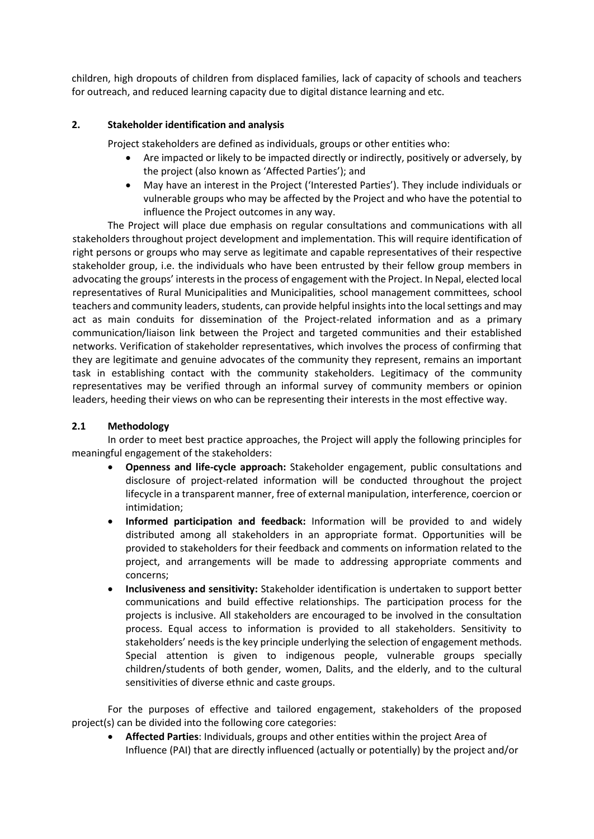children, high dropouts of children from displaced families, lack of capacity of schools and teachers for outreach, and reduced learning capacity due to digital distance learning and etc.

## **2. Stakeholder identification and analysis**

Project stakeholders are defined as individuals, groups or other entities who:

- Are impacted or likely to be impacted directly or indirectly, positively or adversely, by the project (also known as 'Affected Parties'); and
- May have an interest in the Project ('Interested Parties'). They include individuals or vulnerable groups who may be affected by the Project and who have the potential to influence the Project outcomes in any way.

The Project will place due emphasis on regular consultations and communications with all stakeholders throughout project development and implementation. This will require identification of right persons or groups who may serve as legitimate and capable representatives of their respective stakeholder group, i.e. the individuals who have been entrusted by their fellow group members in advocating the groups' interests in the process of engagement with the Project. In Nepal, elected local representatives of Rural Municipalities and Municipalities, school management committees, school teachers and community leaders, students, can provide helpful insights into the local settings and may act as main conduits for dissemination of the Project-related information and as a primary communication/liaison link between the Project and targeted communities and their established networks. Verification of stakeholder representatives, which involves the process of confirming that they are legitimate and genuine advocates of the community they represent, remains an important task in establishing contact with the community stakeholders. Legitimacy of the community representatives may be verified through an informal survey of community members or opinion leaders, heeding their views on who can be representing their interests in the most effective way.

# **2.1 Methodology**

In order to meet best practice approaches, the Project will apply the following principles for meaningful engagement of the stakeholders:

- **Openness and life-cycle approach:** Stakeholder engagement, public consultations and disclosure of project-related information will be conducted throughout the project lifecycle in a transparent manner, free of external manipulation, interference, coercion or intimidation;
- **Informed participation and feedback:** Information will be provided to and widely distributed among all stakeholders in an appropriate format. Opportunities will be provided to stakeholders for their feedback and comments on information related to the project, and arrangements will be made to addressing appropriate comments and concerns;
- **Inclusiveness and sensitivity:** Stakeholder identification is undertaken to support better communications and build effective relationships. The participation process for the projects is inclusive. All stakeholders are encouraged to be involved in the consultation process. Equal access to information is provided to all stakeholders. Sensitivity to stakeholders' needs is the key principle underlying the selection of engagement methods. Special attention is given to indigenous people, vulnerable groups specially children/students of both gender, women, Dalits, and the elderly, and to the cultural sensitivities of diverse ethnic and caste groups.

For the purposes of effective and tailored engagement, stakeholders of the proposed project(s) can be divided into the following core categories:

• **Affected Parties**: Individuals, groups and other entities within the project Area of Influence (PAI) that are directly influenced (actually or potentially) by the project and/or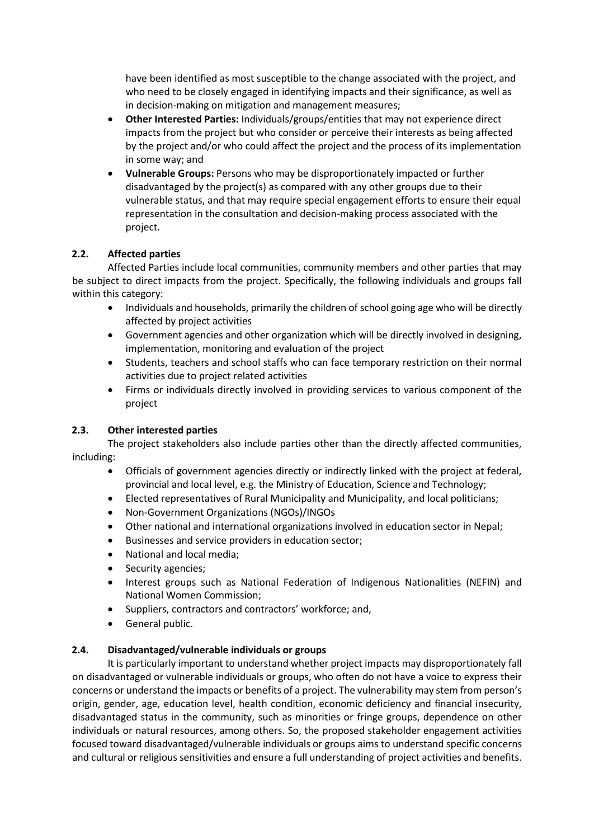have been identified as most susceptible to the change associated with the project, and who need to be closely engaged in identifying impacts and their significance, as well as in decision-making on mitigation and management measures;

- **Other Interested Parties:** Individuals/groups/entities that may not experience direct impacts from the project but who consider or perceive their interests as being affected by the project and/or who could affect the project and the process of its implementation in some way; and
- **Vulnerable Groups:** Persons who may be disproportionately impacted or further disadvantaged by the project(s) as compared with any other groups due to their vulnerable status, and that may require special engagement efforts to ensure their equal representation in the consultation and decision-making process associated with the project.

# **2.2. Affected parties**

Affected Parties include local communities, community members and other parties that may be subject to direct impacts from the project. Specifically, the following individuals and groups fall within this category:

- Individuals and households, primarily the children of school going age who will be directly affected by project activities
- Government agencies and other organization which will be directly involved in designing, implementation, monitoring and evaluation of the project
- Students, teachers and school staffs who can face temporary restriction on their normal activities due to project related activities
- Firms or individuals directly involved in providing services to various component of the project

# **2.3. Other interested parties**

The project stakeholders also include parties other than the directly affected communities, including:

- Officials of government agencies directly or indirectly linked with the project at federal, provincial and local level, e.g. the Ministry of Education, Science and Technology;
- Elected representatives of Rural Municipality and Municipality, and local politicians;
- Non-Government Organizations (NGOs)/INGOs
- Other national and international organizations involved in education sector in Nepal;
- Businesses and service providers in education sector;
- National and local media;
- Security agencies;
- Interest groups such as National Federation of Indigenous Nationalities (NEFIN) and National Women Commission;
- Suppliers, contractors and contractors' workforce; and,
- General public.

# **2.4. Disadvantaged/vulnerable individuals or groups**

It is particularly important to understand whether project impacts may disproportionately fall on disadvantaged or vulnerable individuals or groups, who often do not have a voice to express their concerns or understand the impacts or benefits of a project. The vulnerability may stem from person's origin, gender, age, education level, health condition, economic deficiency and financial insecurity, disadvantaged status in the community, such as minorities or fringe groups, dependence on other individuals or natural resources, among others. So, the proposed stakeholder engagement activities focused toward disadvantaged/vulnerable individuals or groups aims to understand specific concerns and cultural or religious sensitivities and ensure a full understanding of project activities and benefits.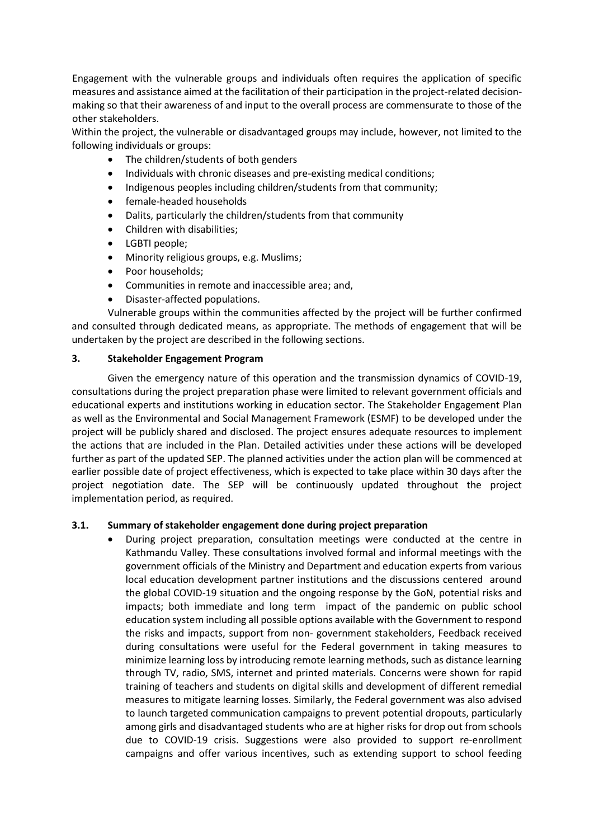Engagement with the vulnerable groups and individuals often requires the application of specific measures and assistance aimed at the facilitation of their participation in the project-related decisionmaking so that their awareness of and input to the overall process are commensurate to those of the other stakeholders.

Within the project, the vulnerable or disadvantaged groups may include, however, not limited to the following individuals or groups:

- The children/students of both genders
- Individuals with chronic diseases and pre-existing medical conditions;
- Indigenous peoples including children/students from that community;
- female-headed households
- Dalits, particularly the children/students from that community
- Children with disabilities;
- LGBTI people;
- Minority religious groups, e.g. Muslims;
- Poor households;
- Communities in remote and inaccessible area; and,
- Disaster-affected populations.

Vulnerable groups within the communities affected by the project will be further confirmed and consulted through dedicated means, as appropriate. The methods of engagement that will be undertaken by the project are described in the following sections.

## **3. Stakeholder Engagement Program**

Given the emergency nature of this operation and the transmission dynamics of COVID-19, consultations during the project preparation phase were limited to relevant government officials and educational experts and institutions working in education sector. The Stakeholder Engagement Plan as well as the Environmental and Social Management Framework (ESMF) to be developed under the project will be publicly shared and disclosed. The project ensures adequate resources to implement the actions that are included in the Plan. Detailed activities under these actions will be developed further as part of the updated SEP. The planned activities under the action plan will be commenced at earlier possible date of project effectiveness, which is expected to take place within 30 days after the project negotiation date. The SEP will be continuously updated throughout the project implementation period, as required.

## **3.1. Summary of stakeholder engagement done during project preparation**

• During project preparation, consultation meetings were conducted at the centre in Kathmandu Valley. These consultations involved formal and informal meetings with the government officials of the Ministry and Department and education experts from various local education development partner institutions and the discussions centered around the global COVID-19 situation and the ongoing response by the GoN, potential risks and impacts; both immediate and long term impact of the pandemic on public school education system including all possible options available with the Government to respond the risks and impacts, support from non- government stakeholders, Feedback received during consultations were useful for the Federal government in taking measures to minimize learning loss by introducing remote learning methods, such as distance learning through TV, radio, SMS, internet and printed materials. Concerns were shown for rapid training of teachers and students on digital skills and development of different remedial measures to mitigate learning losses. Similarly, the Federal government was also advised to launch targeted communication campaigns to prevent potential dropouts, particularly among girls and disadvantaged students who are at higher risks for drop out from schools due to COVID-19 crisis. Suggestions were also provided to support re-enrollment campaigns and offer various incentives, such as extending support to school feeding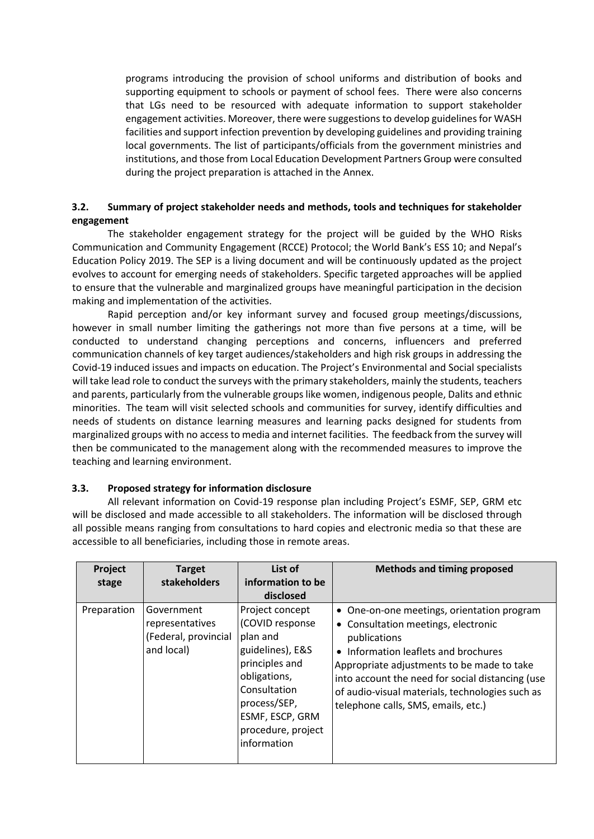programs introducing the provision of school uniforms and distribution of books and supporting equipment to schools or payment of school fees. There were also concerns that LGs need to be resourced with adequate information to support stakeholder engagement activities. Moreover, there were suggestions to develop guidelines for WASH facilities and support infection prevention by developing guidelines and providing training local governments. The list of participants/officials from the government ministries and institutions, and those from Local Education Development Partners Group were consulted during the project preparation is attached in the Annex.

## **3.2. Summary of project stakeholder needs and methods, tools and techniques for stakeholder engagement**

The stakeholder engagement strategy for the project will be guided by the WHO Risks Communication and Community Engagement (RCCE) Protocol; the World Bank's ESS 10; and Nepal's Education Policy 2019. The SEP is a living document and will be continuously updated as the project evolves to account for emerging needs of stakeholders. Specific targeted approaches will be applied to ensure that the vulnerable and marginalized groups have meaningful participation in the decision making and implementation of the activities.

Rapid perception and/or key informant survey and focused group meetings/discussions, however in small number limiting the gatherings not more than five persons at a time, will be conducted to understand changing perceptions and concerns, influencers and preferred communication channels of key target audiences/stakeholders and high risk groups in addressing the Covid-19 induced issues and impacts on education. The Project's Environmental and Social specialists will take lead role to conduct the surveys with the primary stakeholders, mainly the students, teachers and parents, particularly from the vulnerable groups like women, indigenous people, Dalits and ethnic minorities. The team will visit selected schools and communities for survey, identify difficulties and needs of students on distance learning measures and learning packs designed for students from marginalized groups with no access to media and internet facilities. The feedback from the survey will then be communicated to the management along with the recommended measures to improve the teaching and learning environment.

# **3.3. Proposed strategy for information disclosure**

All relevant information on Covid-19 response plan including Project's ESMF, SEP, GRM etc will be disclosed and made accessible to all stakeholders. The information will be disclosed through all possible means ranging from consultations to hard copies and electronic media so that these are accessible to all beneficiaries, including those in remote areas.

| Project<br>stage | <b>Target</b><br>stakeholders                                       | List of<br>information to be<br>disclosed                                                                                                                                                    | <b>Methods and timing proposed</b>                                                                                                                                                                                                                                                                                                    |
|------------------|---------------------------------------------------------------------|----------------------------------------------------------------------------------------------------------------------------------------------------------------------------------------------|---------------------------------------------------------------------------------------------------------------------------------------------------------------------------------------------------------------------------------------------------------------------------------------------------------------------------------------|
| Preparation      | Government<br>representatives<br>(Federal, provincial<br>and local) | Project concept<br>(COVID response<br>plan and<br>guidelines), E&S<br>principles and<br>obligations,<br>Consultation<br>process/SEP,<br>ESMF, ESCP, GRM<br>procedure, project<br>information | • One-on-one meetings, orientation program<br>• Consultation meetings, electronic<br>publications<br>• Information leaflets and brochures<br>Appropriate adjustments to be made to take<br>into account the need for social distancing (use<br>of audio-visual materials, technologies such as<br>telephone calls, SMS, emails, etc.) |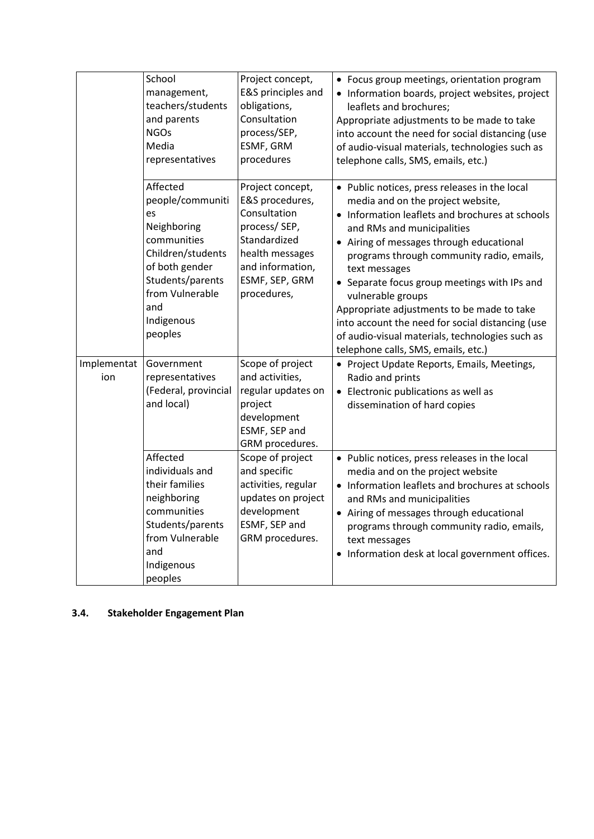|                    | School<br>management,<br>teachers/students<br>and parents<br><b>NGOs</b><br>Media<br>representatives                                                                           | Project concept,<br>E&S principles and<br>obligations,<br>Consultation<br>process/SEP,<br>ESMF, GRM<br>procedures                                           | • Focus group meetings, orientation program<br>• Information boards, project websites, project<br>leaflets and brochures;<br>Appropriate adjustments to be made to take<br>into account the need for social distancing (use<br>of audio-visual materials, technologies such as<br>telephone calls, SMS, emails, etc.)                                                                                                                                                                                                                          |
|--------------------|--------------------------------------------------------------------------------------------------------------------------------------------------------------------------------|-------------------------------------------------------------------------------------------------------------------------------------------------------------|------------------------------------------------------------------------------------------------------------------------------------------------------------------------------------------------------------------------------------------------------------------------------------------------------------------------------------------------------------------------------------------------------------------------------------------------------------------------------------------------------------------------------------------------|
|                    | Affected<br>people/communiti<br>es<br>Neighboring<br>communities<br>Children/students<br>of both gender<br>Students/parents<br>from Vulnerable<br>and<br>Indigenous<br>peoples | Project concept,<br>E&S procedures,<br>Consultation<br>process/SEP,<br>Standardized<br>health messages<br>and information,<br>ESMF, SEP, GRM<br>procedures, | • Public notices, press releases in the local<br>media and on the project website,<br>• Information leaflets and brochures at schools<br>and RMs and municipalities<br>• Airing of messages through educational<br>programs through community radio, emails,<br>text messages<br>• Separate focus group meetings with IPs and<br>vulnerable groups<br>Appropriate adjustments to be made to take<br>into account the need for social distancing (use<br>of audio-visual materials, technologies such as<br>telephone calls, SMS, emails, etc.) |
| Implementat<br>ion | Government<br>representatives<br>(Federal, provincial<br>and local)                                                                                                            | Scope of project<br>and activities,<br>regular updates on<br>project<br>development<br>ESMF, SEP and<br>GRM procedures.                                     | • Project Update Reports, Emails, Meetings,<br>Radio and prints<br>• Electronic publications as well as<br>dissemination of hard copies                                                                                                                                                                                                                                                                                                                                                                                                        |
|                    | Affected<br>individuals and<br>their families<br>neighboring<br>communities<br>Students/parents<br>from Vulnerable<br>and<br>Indigenous<br>peoples                             | Scope of project<br>and specific<br>activities, regular<br>updates on project<br>development<br>ESMF, SEP and<br>GRM procedures.                            | • Public notices, press releases in the local<br>media and on the project website<br>• Information leaflets and brochures at schools<br>and RMs and municipalities<br>• Airing of messages through educational<br>programs through community radio, emails,<br>text messages<br>• Information desk at local government offices.                                                                                                                                                                                                                |

# **3.4. Stakeholder Engagement Plan**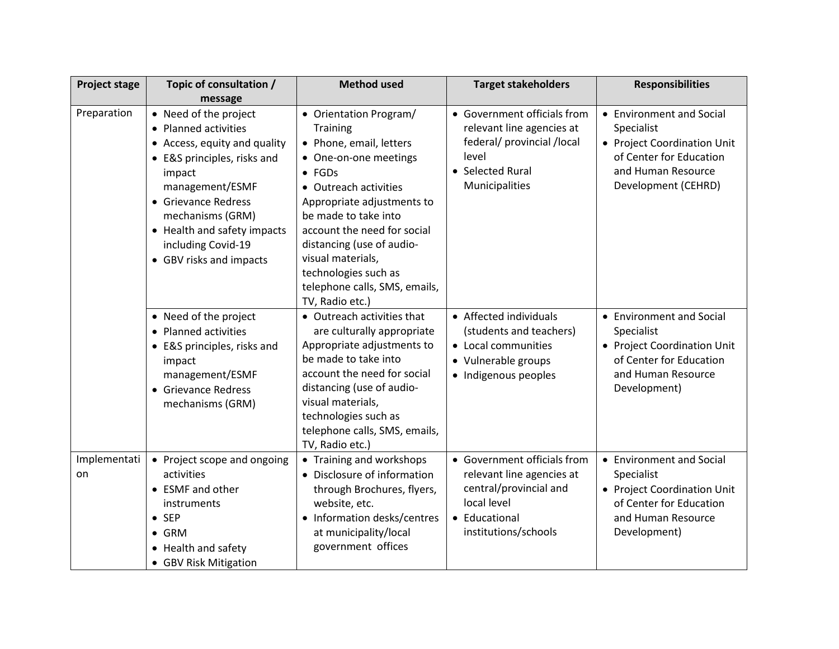| <b>Project stage</b> | Topic of consultation /                                                                                                                                                                                                                                              | <b>Method used</b>                                                                                                                                                                                                                                                                                                                                          | <b>Target stakeholders</b>                                                                                                                 | <b>Responsibilities</b>                                                                                                                       |
|----------------------|----------------------------------------------------------------------------------------------------------------------------------------------------------------------------------------------------------------------------------------------------------------------|-------------------------------------------------------------------------------------------------------------------------------------------------------------------------------------------------------------------------------------------------------------------------------------------------------------------------------------------------------------|--------------------------------------------------------------------------------------------------------------------------------------------|-----------------------------------------------------------------------------------------------------------------------------------------------|
|                      | message                                                                                                                                                                                                                                                              |                                                                                                                                                                                                                                                                                                                                                             |                                                                                                                                            |                                                                                                                                               |
| Preparation          | • Need of the project<br>• Planned activities<br>• Access, equity and quality<br>• E&S principles, risks and<br>impact<br>management/ESMF<br>• Grievance Redress<br>mechanisms (GRM)<br>• Health and safety impacts<br>including Covid-19<br>• GBV risks and impacts | • Orientation Program/<br><b>Training</b><br>• Phone, email, letters<br>• One-on-one meetings<br>$\bullet$ FGDs<br>• Outreach activities<br>Appropriate adjustments to<br>be made to take into<br>account the need for social<br>distancing (use of audio-<br>visual materials,<br>technologies such as<br>telephone calls, SMS, emails,<br>TV, Radio etc.) | • Government officials from<br>relevant line agencies at<br>federal/ provincial /local<br>level<br>• Selected Rural<br>Municipalities      | • Environment and Social<br>Specialist<br>• Project Coordination Unit<br>of Center for Education<br>and Human Resource<br>Development (CEHRD) |
|                      | • Need of the project<br>• Planned activities<br>• E&S principles, risks and<br>impact<br>management/ESMF<br>• Grievance Redress<br>mechanisms (GRM)                                                                                                                 | • Outreach activities that<br>are culturally appropriate<br>Appropriate adjustments to<br>be made to take into<br>account the need for social<br>distancing (use of audio-<br>visual materials,<br>technologies such as<br>telephone calls, SMS, emails,<br>TV, Radio etc.)                                                                                 | • Affected individuals<br>(students and teachers)<br>• Local communities<br>• Vulnerable groups<br>· Indigenous peoples                    | • Environment and Social<br>Specialist<br>• Project Coordination Unit<br>of Center for Education<br>and Human Resource<br>Development)        |
| Implementati<br>on   | • Project scope and ongoing<br>activities<br>• ESMF and other<br>instruments<br>$\bullet$ SEP<br>$\bullet$ GRM<br>• Health and safety<br>• GBV Risk Mitigation                                                                                                       | • Training and workshops<br>• Disclosure of information<br>through Brochures, flyers,<br>website, etc.<br>Information desks/centres<br>at municipality/local<br>government offices                                                                                                                                                                          | • Government officials from<br>relevant line agencies at<br>central/provincial and<br>local level<br>• Educational<br>institutions/schools | • Environment and Social<br>Specialist<br>• Project Coordination Unit<br>of Center for Education<br>and Human Resource<br>Development)        |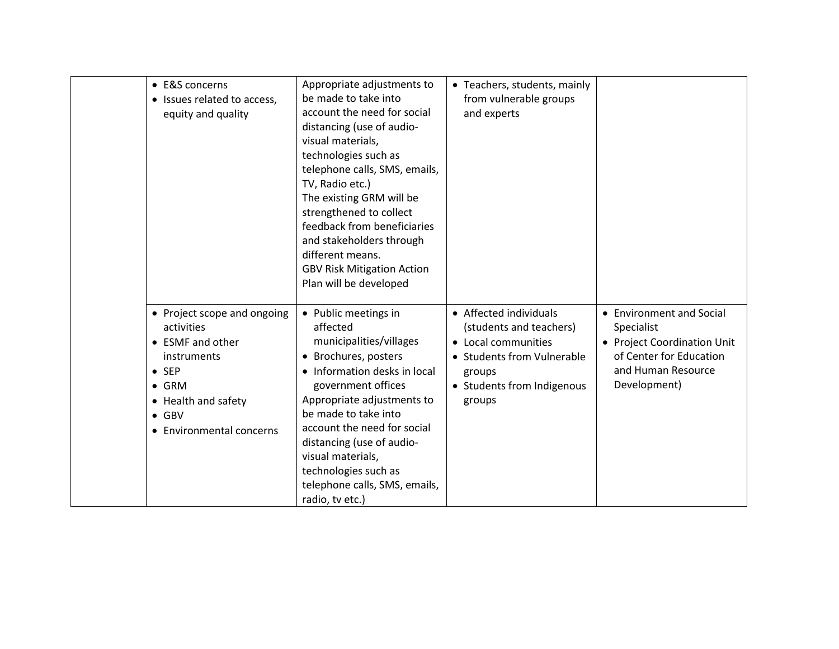| • E&S concerns<br>• Issues related to access,<br>equity and quality                                                                                                                | Appropriate adjustments to<br>be made to take into<br>account the need for social<br>distancing (use of audio-<br>visual materials,<br>technologies such as<br>telephone calls, SMS, emails,<br>TV, Radio etc.)<br>The existing GRM will be<br>strengthened to collect<br>feedback from beneficiaries<br>and stakeholders through<br>different means.<br><b>GBV Risk Mitigation Action</b><br>Plan will be developed | • Teachers, students, mainly<br>from vulnerable groups<br>and experts                                                                                    |                                                                                                                                        |
|------------------------------------------------------------------------------------------------------------------------------------------------------------------------------------|----------------------------------------------------------------------------------------------------------------------------------------------------------------------------------------------------------------------------------------------------------------------------------------------------------------------------------------------------------------------------------------------------------------------|----------------------------------------------------------------------------------------------------------------------------------------------------------|----------------------------------------------------------------------------------------------------------------------------------------|
| • Project scope and ongoing<br>activities<br>• ESMF and other<br>instruments<br>$\bullet$ SEP<br>$\bullet$ GRM<br>• Health and safety<br>$\bullet$ GBV<br>• Environmental concerns | • Public meetings in<br>affected<br>municipalities/villages<br>• Brochures, posters<br>• Information desks in local<br>government offices<br>Appropriate adjustments to<br>be made to take into<br>account the need for social<br>distancing (use of audio-<br>visual materials,<br>technologies such as<br>telephone calls, SMS, emails,<br>radio, tv etc.)                                                         | • Affected individuals<br>(students and teachers)<br>• Local communities<br>• Students from Vulnerable<br>groups<br>• Students from Indigenous<br>groups | • Environment and Social<br>Specialist<br>• Project Coordination Unit<br>of Center for Education<br>and Human Resource<br>Development) |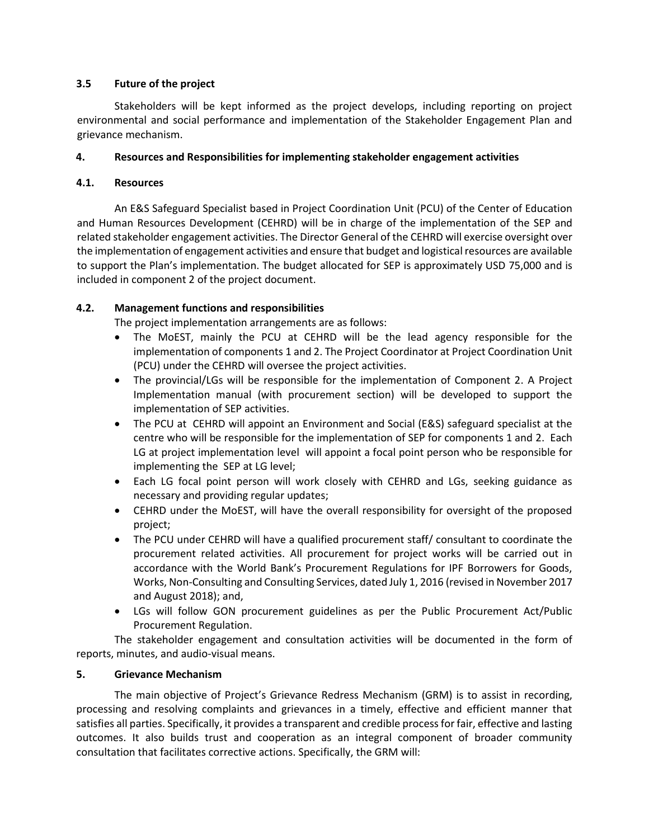## **3.5 Future of the project**

Stakeholders will be kept informed as the project develops, including reporting on project environmental and social performance and implementation of the Stakeholder Engagement Plan and grievance mechanism.

## **4. Resources and Responsibilities for implementing stakeholder engagement activities**

## **4.1. Resources**

An E&S Safeguard Specialist based in Project Coordination Unit (PCU) of the Center of Education and Human Resources Development (CEHRD) will be in charge of the implementation of the SEP and related stakeholder engagement activities. The Director General of the CEHRD will exercise oversight over the implementation of engagement activities and ensure that budget and logistical resources are available to support the Plan's implementation. The budget allocated for SEP is approximately USD 75,000 and is included in component 2 of the project document.

## **4.2. Management functions and responsibilities**

The project implementation arrangements are as follows:

- The MoEST, mainly the PCU at CEHRD will be the lead agency responsible for the implementation of components 1 and 2. The Project Coordinator at Project Coordination Unit (PCU) under the CEHRD will oversee the project activities.
- The provincial/LGs will be responsible for the implementation of Component 2. A Project Implementation manual (with procurement section) will be developed to support the implementation of SEP activities.
- The PCU at CEHRD will appoint an Environment and Social (E&S) safeguard specialist at the centre who will be responsible for the implementation of SEP for components 1 and 2. Each LG at project implementation level will appoint a focal point person who be responsible for implementing the SEP at LG level;
- Each LG focal point person will work closely with CEHRD and LGs, seeking guidance as necessary and providing regular updates;
- CEHRD under the MoEST, will have the overall responsibility for oversight of the proposed project;
- The PCU under CEHRD will have a qualified procurement staff/ consultant to coordinate the procurement related activities. All procurement for project works will be carried out in accordance with the World Bank's Procurement Regulations for IPF Borrowers for Goods, Works, Non-Consulting and Consulting Services, dated July 1, 2016 (revised in November 2017 and August 2018); and,
- LGs will follow GON procurement guidelines as per the Public Procurement Act/Public Procurement Regulation.

The stakeholder engagement and consultation activities will be documented in the form of reports, minutes, and audio-visual means.

## **5. Grievance Mechanism**

The main objective of Project's Grievance Redress Mechanism (GRM) is to assist in recording, processing and resolving complaints and grievances in a timely, effective and efficient manner that satisfies all parties. Specifically, it provides a transparent and credible process for fair, effective and lasting outcomes. It also builds trust and cooperation as an integral component of broader community consultation that facilitates corrective actions. Specifically, the GRM will: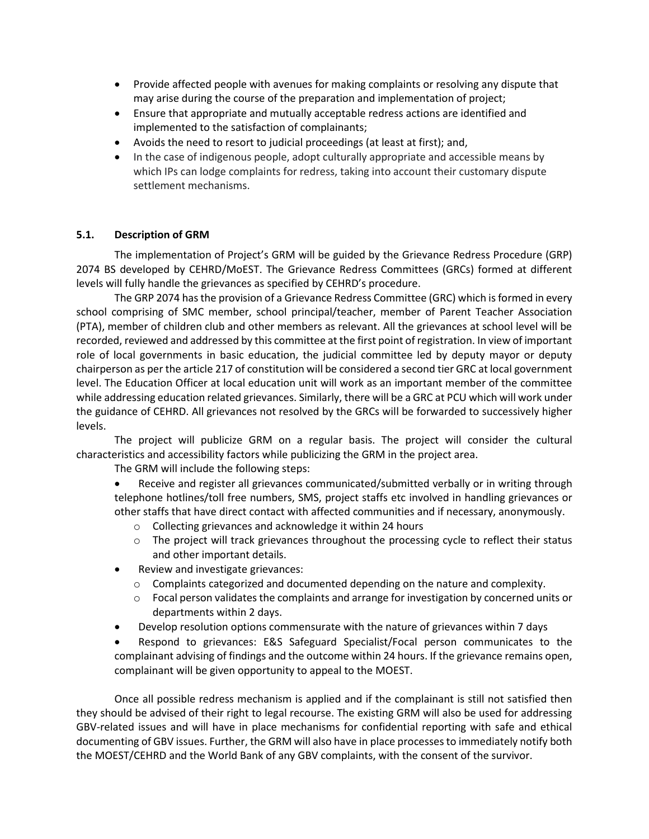- Provide affected people with avenues for making complaints or resolving any dispute that may arise during the course of the preparation and implementation of project;
- Ensure that appropriate and mutually acceptable redress actions are identified and implemented to the satisfaction of complainants;
- Avoids the need to resort to judicial proceedings (at least at first); and,
- In the case of indigenous people, adopt culturally appropriate and accessible means by which IPs can lodge complaints for redress, taking into account their customary dispute settlement mechanisms.

## **5.1. Description of GRM**

The implementation of Project's GRM will be guided by the Grievance Redress Procedure (GRP) 2074 BS developed by CEHRD/MoEST. The Grievance Redress Committees (GRCs) formed at different levels will fully handle the grievances as specified by CEHRD's procedure.

The GRP 2074 has the provision of a Grievance Redress Committee (GRC) which is formed in every school comprising of SMC member, school principal/teacher, member of Parent Teacher Association (PTA), member of children club and other members as relevant. All the grievances at school level will be recorded, reviewed and addressed by this committee at the first point of registration. In view of important role of local governments in basic education, the judicial committee led by deputy mayor or deputy chairperson as per the article 217 of constitution will be considered a second tier GRC at local government level. The Education Officer at local education unit will work as an important member of the committee while addressing education related grievances. Similarly, there will be a GRC at PCU which will work under the guidance of CEHRD. All grievances not resolved by the GRCs will be forwarded to successively higher levels.

The project will publicize GRM on a regular basis. The project will consider the cultural characteristics and accessibility factors while publicizing the GRM in the project area.

The GRM will include the following steps:

• Receive and register all grievances communicated/submitted verbally or in writing through telephone hotlines/toll free numbers, SMS, project staffs etc involved in handling grievances or other staffs that have direct contact with affected communities and if necessary, anonymously.

- o Collecting grievances and acknowledge it within 24 hours
- $\circ$  The project will track grievances throughout the processing cycle to reflect their status and other important details.
- Review and investigate grievances:
	- $\circ$  Complaints categorized and documented depending on the nature and complexity.
	- $\circ$  Focal person validates the complaints and arrange for investigation by concerned units or departments within 2 days.
- Develop resolution options commensurate with the nature of grievances within 7 days
- Respond to grievances: E&S Safeguard Specialist/Focal person communicates to the complainant advising of findings and the outcome within 24 hours. If the grievance remains open, complainant will be given opportunity to appeal to the MOEST.

Once all possible redress mechanism is applied and if the complainant is still not satisfied then they should be advised of their right to legal recourse. The existing GRM will also be used for addressing GBV-related issues and will have in place mechanisms for confidential reporting with safe and ethical documenting of GBV issues. Further, the GRM will also have in place processes to immediately notify both the MOEST/CEHRD and the World Bank of any GBV complaints, with the consent of the survivor.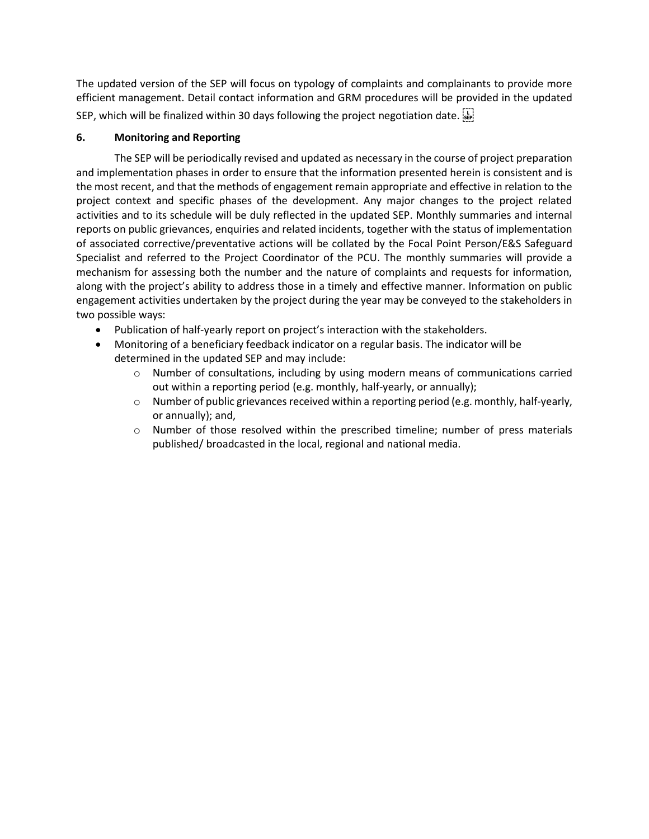The updated version of the SEP will focus on typology of complaints and complainants to provide more efficient management. Detail contact information and GRM procedures will be provided in the updated SEP, which will be finalized within 30 days following the project negotiation date.

# **6. Monitoring and Reporting**

The SEP will be periodically revised and updated as necessary in the course of project preparation and implementation phases in order to ensure that the information presented herein is consistent and is the most recent, and that the methods of engagement remain appropriate and effective in relation to the project context and specific phases of the development. Any major changes to the project related activities and to its schedule will be duly reflected in the updated SEP. Monthly summaries and internal reports on public grievances, enquiries and related incidents, together with the status of implementation of associated corrective/preventative actions will be collated by the Focal Point Person/E&S Safeguard Specialist and referred to the Project Coordinator of the PCU. The monthly summaries will provide a mechanism for assessing both the number and the nature of complaints and requests for information, along with the project's ability to address those in a timely and effective manner. Information on public engagement activities undertaken by the project during the year may be conveyed to the stakeholders in two possible ways:

- Publication of half-yearly report on project's interaction with the stakeholders.
- Monitoring of a beneficiary feedback indicator on a regular basis. The indicator will be determined in the updated SEP and may include:
	- o Number of consultations, including by using modern means of communications carried out within a reporting period (e.g. monthly, half-yearly, or annually);
	- $\circ$  Number of public grievances received within a reporting period (e.g. monthly, half-yearly, or annually); and,
	- o Number of those resolved within the prescribed timeline; number of press materials published/ broadcasted in the local, regional and national media.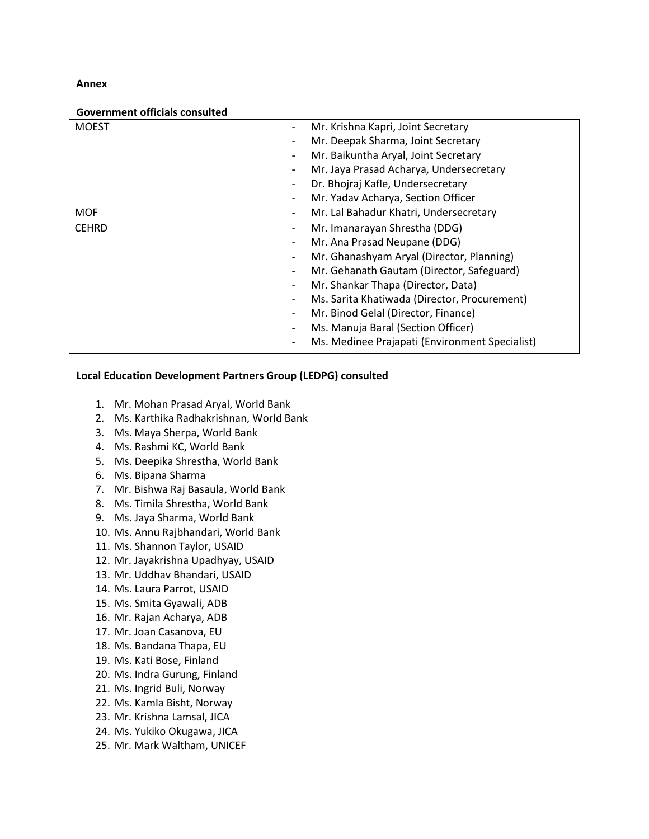#### **Annex**

#### **Government officials consulted**

| <b>MOEST</b> |                          | Mr. Krishna Kapri, Joint Secretary             |
|--------------|--------------------------|------------------------------------------------|
|              |                          | Mr. Deepak Sharma, Joint Secretary             |
|              |                          | Mr. Baikuntha Aryal, Joint Secretary           |
|              |                          | Mr. Jaya Prasad Acharya, Undersecretary        |
|              |                          | Dr. Bhojraj Kafle, Undersecretary              |
|              |                          | Mr. Yadav Acharya, Section Officer             |
| <b>MOF</b>   |                          | Mr. Lal Bahadur Khatri, Undersecretary         |
| <b>CEHRD</b> | $\overline{\phantom{0}}$ | Mr. Imanarayan Shrestha (DDG)                  |
|              |                          | Mr. Ana Prasad Neupane (DDG)                   |
|              |                          | Mr. Ghanashyam Aryal (Director, Planning)      |
|              |                          | Mr. Gehanath Gautam (Director, Safeguard)      |
|              |                          | Mr. Shankar Thapa (Director, Data)             |
|              |                          | Ms. Sarita Khatiwada (Director, Procurement)   |
|              |                          | Mr. Binod Gelal (Director, Finance)            |
|              |                          | Ms. Manuja Baral (Section Officer)             |
|              |                          | Ms. Medinee Prajapati (Environment Specialist) |

#### **Local Education Development Partners Group (LEDPG) consulted**

- 1. Mr. Mohan Prasad Aryal, World Bank
- 2. Ms. Karthika Radhakrishnan, World Bank
- 3. Ms. Maya Sherpa, World Bank
- 4. Ms. Rashmi KC, World Bank
- 5. Ms. Deepika Shrestha, World Bank
- 6. Ms. Bipana Sharma
- 7. Mr. Bishwa Raj Basaula, World Bank
- 8. Ms. Timila Shrestha, World Bank
- 9. Ms. Jaya Sharma, World Bank
- 10. Ms. Annu Rajbhandari, World Bank
- 11. Ms. Shannon Taylor, USAID
- 12. Mr. Jayakrishna Upadhyay, USAID
- 13. Mr. Uddhav Bhandari, USAID
- 14. Ms. Laura Parrot, USAID
- 15. Ms. Smita Gyawali, ADB
- 16. Mr. Rajan Acharya, ADB
- 17. Mr. Joan Casanova, EU
- 18. Ms. Bandana Thapa, EU
- 19. Ms. Kati Bose, Finland
- 20. Ms. Indra Gurung, Finland
- 21. Ms. Ingrid Buli, Norway
- 22. Ms. Kamla Bisht, Norway
- 23. Mr. Krishna Lamsal, JICA
- 24. Ms. Yukiko Okugawa, JICA
- 25. Mr. Mark Waltham, UNICEF